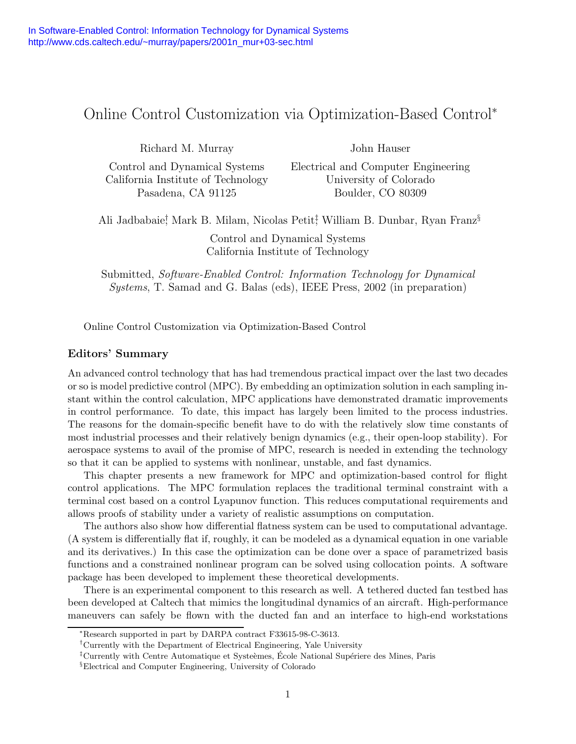# Online Control Customization via Optimization-Based Control<sup>∗</sup>

Richard M. Murray John Hauser

California Institute of Technology University of Colorado Pasadena, CA 91125 Boulder, CO 80309

Control and Dynamical Systems Electrical and Computer Engineering

Ali Jadbabaie† , Mark B. Milam, Nicolas Petit‡ , William B. Dunbar, Ryan Franz§

Control and Dynamical Systems California Institute of Technology

Submitted, *Software-Enabled Control: Information Technology for Dynamical Systems*, T. Samad and G. Balas (eds), IEEE Press, 2002 (in preparation)

Online Control Customization via Optimization-Based Control

### **Editors' Summary**

An advanced control technology that has had tremendous practical impact over the last two decades or so is model predictive control (MPC). By embedding an optimization solution in each sampling instant within the control calculation, MPC applications have demonstrated dramatic improvements in control performance. To date, this impact has largely been limited to the process industries. The reasons for the domain-specific benefit have to do with the relatively slow time constants of most industrial processes and their relatively benign dynamics (e.g., their open-loop stability). For aerospace systems to avail of the promise of MPC, research is needed in extending the technology so that it can be applied to systems with nonlinear, unstable, and fast dynamics.

This chapter presents a new framework for MPC and optimization-based control for flight control applications. The MPC formulation replaces the traditional terminal constraint with a terminal cost based on a control Lyapunov function. This reduces computational requirements and allows proofs of stability under a variety of realistic assumptions on computation.

The authors also show how differential flatness system can be used to computational advantage. (A system is differentially flat if, roughly, it can be modeled as a dynamical equation in one variable and its derivatives.) In this case the optimization can be done over a space of parametrized basis functions and a constrained nonlinear program can be solved using collocation points. A software package has been developed to implement these theoretical developments.

There is an experimental component to this research as well. A tethered ducted fan testbed has been developed at Caltech that mimics the longitudinal dynamics of an aircraft. High-performance maneuvers can safely be flown with the ducted fan and an interface to high-end workstations

<sup>∗</sup>Research supported in part by DARPA contract F33615-98-C-3613.

<sup>†</sup>Currently with the Department of Electrical Engineering, Yale University

<sup>&</sup>lt;sup>‡</sup>Currently with Centre Automatique et Systeèmes, École National Supériere des Mines, Paris

<sup>§</sup>Electrical and Computer Engineering, University of Colorado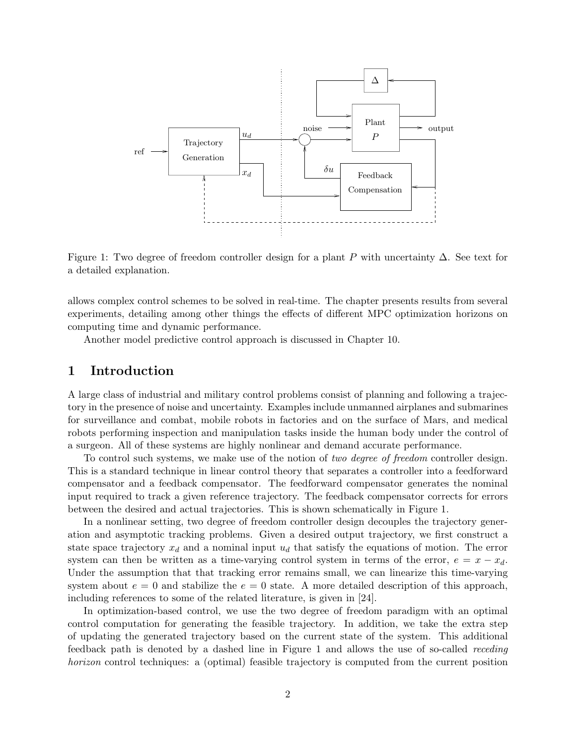

Figure 1: Two degree of freedom controller design for a plant P with uncertainty  $\Delta$ . See text for a detailed explanation.

allows complex control schemes to be solved in real-time. The chapter presents results from several experiments, detailing among other things the effects of different MPC optimization horizons on computing time and dynamic performance.

Another model predictive control approach is discussed in Chapter 10.

## **1 Introduction**

A large class of industrial and military control problems consist of planning and following a trajectory in the presence of noise and uncertainty. Examples include unmanned airplanes and submarines for surveillance and combat, mobile robots in factories and on the surface of Mars, and medical robots performing inspection and manipulation tasks inside the human body under the control of a surgeon. All of these systems are highly nonlinear and demand accurate performance.

To control such systems, we make use of the notion of *two degree of freedom* controller design. This is a standard technique in linear control theory that separates a controller into a feedforward compensator and a feedback compensator. The feedforward compensator generates the nominal input required to track a given reference trajectory. The feedback compensator corrects for errors between the desired and actual trajectories. This is shown schematically in Figure 1.

In a nonlinear setting, two degree of freedom controller design decouples the trajectory generation and asymptotic tracking problems. Given a desired output trajectory, we first construct a state space trajectory x*d* and a nominal input u*d* that satisfy the equations of motion. The error system can then be written as a time-varying control system in terms of the error,  $e = x - x_d$ . Under the assumption that that tracking error remains small, we can linearize this time-varying system about  $e = 0$  and stabilize the  $e = 0$  state. A more detailed description of this approach, including references to some of the related literature, is given in [24].

In optimization-based control, we use the two degree of freedom paradigm with an optimal control computation for generating the feasible trajectory. In addition, we take the extra step of updating the generated trajectory based on the current state of the system. This additional feedback path is denoted by a dashed line in Figure 1 and allows the use of so-called *receding horizon* control techniques: a (optimal) feasible trajectory is computed from the current position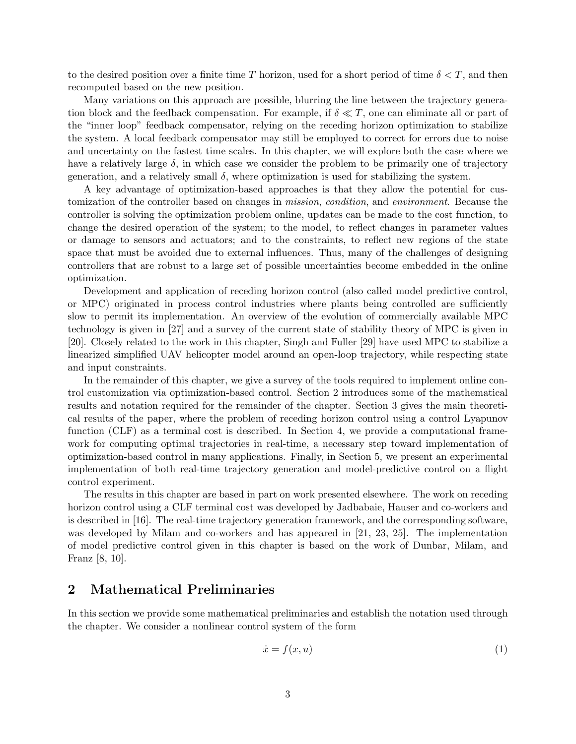to the desired position over a finite time T horizon, used for a short period of time  $\delta < T$ , and then recomputed based on the new position.

Many variations on this approach are possible, blurring the line between the trajectory generation block and the feedback compensation. For example, if  $\delta \ll T$ , one can eliminate all or part of the "inner loop" feedback compensator, relying on the receding horizon optimization to stabilize the system. A local feedback compensator may still be employed to correct for errors due to noise and uncertainty on the fastest time scales. In this chapter, we will explore both the case where we have a relatively large  $\delta$ , in which case we consider the problem to be primarily one of trajectory generation, and a relatively small  $\delta$ , where optimization is used for stabilizing the system.

A key advantage of optimization-based approaches is that they allow the potential for customization of the controller based on changes in *mission*, *condition*, and *environment*. Because the controller is solving the optimization problem online, updates can be made to the cost function, to change the desired operation of the system; to the model, to reflect changes in parameter values or damage to sensors and actuators; and to the constraints, to reflect new regions of the state space that must be avoided due to external influences. Thus, many of the challenges of designing controllers that are robust to a large set of possible uncertainties become embedded in the online optimization.

Development and application of receding horizon control (also called model predictive control, or MPC) originated in process control industries where plants being controlled are sufficiently slow to permit its implementation. An overview of the evolution of commercially available MPC technology is given in [27] and a survey of the current state of stability theory of MPC is given in [20]. Closely related to the work in this chapter, Singh and Fuller [29] have used MPC to stabilize a linearized simplified UAV helicopter model around an open-loop trajectory, while respecting state and input constraints.

In the remainder of this chapter, we give a survey of the tools required to implement online control customization via optimization-based control. Section 2 introduces some of the mathematical results and notation required for the remainder of the chapter. Section 3 gives the main theoretical results of the paper, where the problem of receding horizon control using a control Lyapunov function (CLF) as a terminal cost is described. In Section 4, we provide a computational framework for computing optimal trajectories in real-time, a necessary step toward implementation of optimization-based control in many applications. Finally, in Section 5, we present an experimental implementation of both real-time trajectory generation and model-predictive control on a flight control experiment.

The results in this chapter are based in part on work presented elsewhere. The work on receding horizon control using a CLF terminal cost was developed by Jadbabaie, Hauser and co-workers and is described in [16]. The real-time trajectory generation framework, and the corresponding software, was developed by Milam and co-workers and has appeared in [21, 23, 25]. The implementation of model predictive control given in this chapter is based on the work of Dunbar, Milam, and Franz [8, 10].

## **2 Mathematical Preliminaries**

In this section we provide some mathematical preliminaries and establish the notation used through the chapter. We consider a nonlinear control system of the form

$$
\dot{x} = f(x, u) \tag{1}
$$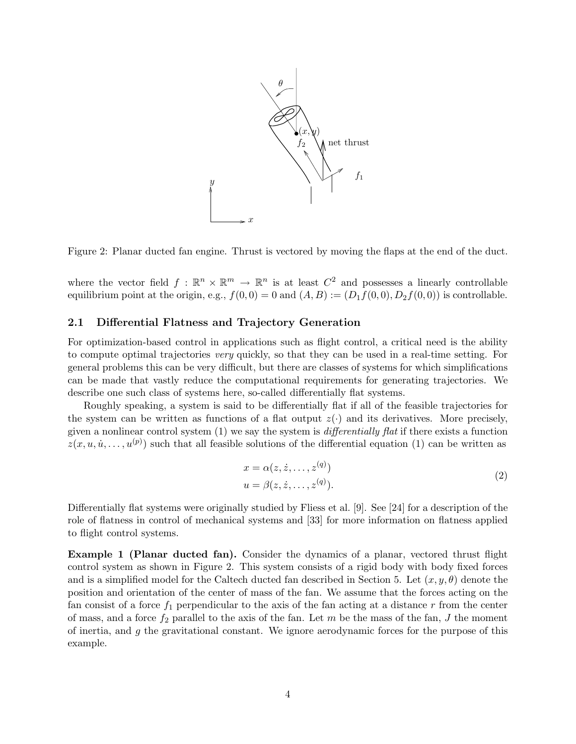

Figure 2: Planar ducted fan engine. Thrust is vectored by moving the flaps at the end of the duct.

where the vector field  $f : \mathbb{R}^n \times \mathbb{R}^m \to \mathbb{R}^n$  is at least  $C^2$  and possesses a linearly controllable equilibrium point at the origin, e.g.,  $f(0, 0) = 0$  and  $(A, B) := (D_1 f(0, 0), D_2 f(0, 0))$  is controllable.

### **2.1 Differential Flatness and Trajectory Generation**

For optimization-based control in applications such as flight control, a critical need is the ability to compute optimal trajectories *very* quickly, so that they can be used in a real-time setting. For general problems this can be very difficult, but there are classes of systems for which simplifications can be made that vastly reduce the computational requirements for generating trajectories. We describe one such class of systems here, so-called differentially flat systems.

Roughly speaking, a system is said to be differentially flat if all of the feasible trajectories for the system can be written as functions of a flat output  $z(\cdot)$  and its derivatives. More precisely, given a nonlinear control system (1) we say the system is *differentially flat* if there exists a function  $z(x, u, u, \ldots, u^{(p)})$  such that all feasible solutions of the differential equation (1) can be written as

$$
x = \alpha(z, \dot{z}, \dots, z^{(q)})
$$
  

$$
u = \beta(z, \dot{z}, \dots, z^{(q)}).
$$
 (2)

Differentially flat systems were originally studied by Fliess et al. [9]. See [24] for a description of the role of flatness in control of mechanical systems and [33] for more information on flatness applied to flight control systems.

**Example 1 (Planar ducted fan).** Consider the dynamics of a planar, vectored thrust flight control system as shown in Figure 2. This system consists of a rigid body with body fixed forces and is a simplified model for the Caltech ducted fan described in Section 5. Let  $(x, y, \theta)$  denote the position and orientation of the center of mass of the fan. We assume that the forces acting on the fan consist of a force  $f_1$  perpendicular to the axis of the fan acting at a distance r from the center of mass, and a force  $f_2$  parallel to the axis of the fan. Let m be the mass of the fan, J the moment of inertia, and  $g$  the gravitational constant. We ignore aerodynamic forces for the purpose of this example.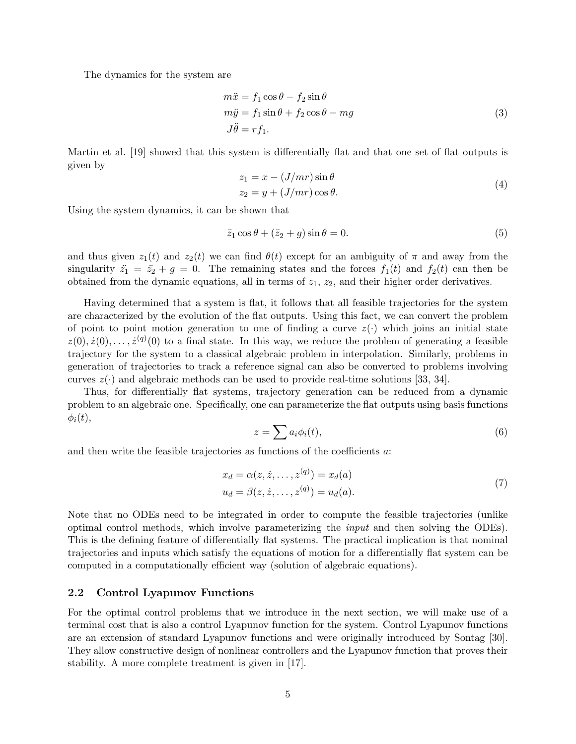The dynamics for the system are

$$
m\ddot{x} = f_1 \cos \theta - f_2 \sin \theta
$$
  
\n
$$
m\ddot{y} = f_1 \sin \theta + f_2 \cos \theta - mg
$$
  
\n
$$
J\ddot{\theta} = rf_1.
$$
\n(3)

Martin et al. [19] showed that this system is differentially flat and that one set of flat outputs is given by

$$
z_1 = x - (J/mr)\sin\theta
$$
  
\n
$$
z_2 = y + (J/mr)\cos\theta.
$$
\n(4)

Using the system dynamics, it can be shown that

$$
\ddot{z}_1 \cos \theta + (\ddot{z}_2 + g) \sin \theta = 0. \tag{5}
$$

and thus given  $z_1(t)$  and  $z_2(t)$  we can find  $\theta(t)$  except for an ambiguity of  $\pi$  and away from the singularity  $\ddot{z}_1 = \ddot{z}_2 + g = 0$ . The remaining states and the forces  $f_1(t)$  and  $f_2(t)$  can then be obtained from the dynamic equations, all in terms of  $z_1$ ,  $z_2$ , and their higher order derivatives.

Having determined that a system is flat, it follows that all feasible trajectories for the system are characterized by the evolution of the flat outputs. Using this fact, we can convert the problem of point to point motion generation to one of finding a curve  $z(\cdot)$  which joins an initial state  $z(0), \dot{z}(0), \ldots, \dot{z}^{(q)}(0)$  to a final state. In this way, we reduce the problem of generating a feasible trajectory for the system to a classical algebraic problem in interpolation. Similarly, problems in generation of trajectories to track a reference signal can also be converted to problems involving curves  $z(\cdot)$  and algebraic methods can be used to provide real-time solutions [33, 34].

Thus, for differentially flat systems, trajectory generation can be reduced from a dynamic problem to an algebraic one. Specifically, one can parameterize the flat outputs using basis functions  $\phi_i(t)$ ,

$$
z = \sum a_i \phi_i(t),\tag{6}
$$

and then write the feasible trajectories as functions of the coefficients a:

$$
x_d = \alpha(z, \dot{z}, \dots, z^{(q)}) = x_d(a)
$$
  
\n
$$
u_d = \beta(z, \dot{z}, \dots, z^{(q)}) = u_d(a).
$$
\n(7)

Note that no ODEs need to be integrated in order to compute the feasible trajectories (unlike optimal control methods, which involve parameterizing the *input* and then solving the ODEs). This is the defining feature of differentially flat systems. The practical implication is that nominal trajectories and inputs which satisfy the equations of motion for a differentially flat system can be computed in a computationally efficient way (solution of algebraic equations).

#### **2.2 Control Lyapunov Functions**

For the optimal control problems that we introduce in the next section, we will make use of a terminal cost that is also a control Lyapunov function for the system. Control Lyapunov functions are an extension of standard Lyapunov functions and were originally introduced by Sontag [30]. They allow constructive design of nonlinear controllers and the Lyapunov function that proves their stability. A more complete treatment is given in [17].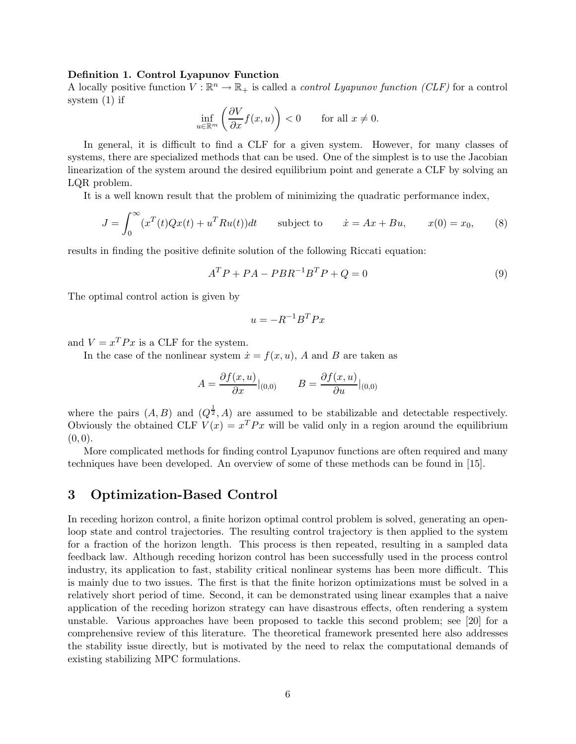#### **Definition 1. Control Lyapunov Function**

A locally positive function  $V : \mathbb{R}^n \to \mathbb{R}_+$  is called a *control Lyapunov function (CLF)* for a control system (1) if

$$
\inf_{u \in \mathbb{R}^m} \left( \frac{\partial V}{\partial x} f(x, u) \right) < 0 \qquad \text{for all } x \neq 0.
$$

In general, it is difficult to find a CLF for a given system. However, for many classes of systems, there are specialized methods that can be used. One of the simplest is to use the Jacobian linearization of the system around the desired equilibrium point and generate a CLF by solving an LQR problem.

It is a well known result that the problem of minimizing the quadratic performance index,

$$
J = \int_0^\infty (x^T(t)Qx(t) + u^T Ru(t))dt \qquad \text{subject to} \qquad \dot{x} = Ax + Bu, \qquad x(0) = x_0,\tag{8}
$$

results in finding the positive definite solution of the following Riccati equation:

$$
ATP + PA - PBR-1BTP + Q = 0
$$
\n(9)

The optimal control action is given by

$$
u = -R^{-1}B^T P x
$$

and  $V = x^T P x$  is a CLF for the system.

In the case of the nonlinear system  $\dot{x} = f(x, u)$ , A and B are taken as

$$
A = \frac{\partial f(x, u)}{\partial x}|_{(0,0)} \qquad B = \frac{\partial f(x, u)}{\partial u}|_{(0,0)}
$$

where the pairs  $(A, B)$  and  $(Q^{\frac{1}{2}}, A)$  are assumed to be stabilizable and detectable respectively. Obviously the obtained CLF  $V(x) = x^T P x$  will be valid only in a region around the equilibrium  $(0, 0).$ 

More complicated methods for finding control Lyapunov functions are often required and many techniques have been developed. An overview of some of these methods can be found in [15].

## **3 Optimization-Based Control**

In receding horizon control, a finite horizon optimal control problem is solved, generating an openloop state and control trajectories. The resulting control trajectory is then applied to the system for a fraction of the horizon length. This process is then repeated, resulting in a sampled data feedback law. Although receding horizon control has been successfully used in the process control industry, its application to fast, stability critical nonlinear systems has been more difficult. This is mainly due to two issues. The first is that the finite horizon optimizations must be solved in a relatively short period of time. Second, it can be demonstrated using linear examples that a naive application of the receding horizon strategy can have disastrous effects, often rendering a system unstable. Various approaches have been proposed to tackle this second problem; see [20] for a comprehensive review of this literature. The theoretical framework presented here also addresses the stability issue directly, but is motivated by the need to relax the computational demands of existing stabilizing MPC formulations.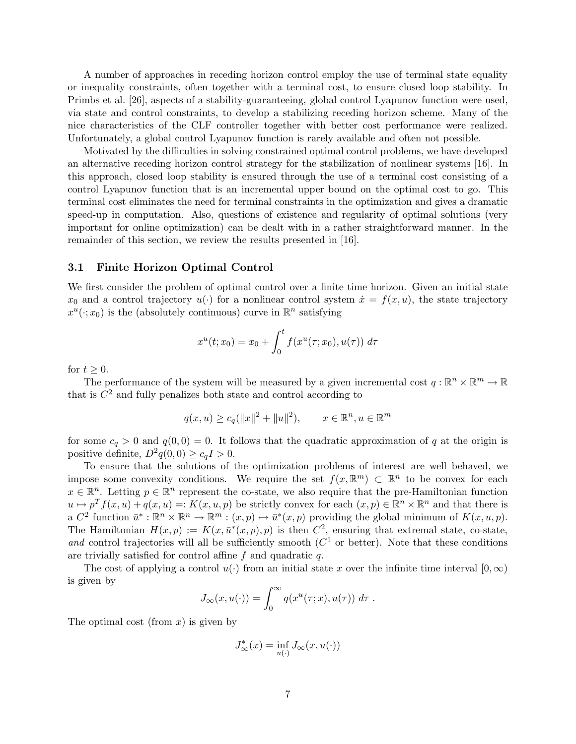A number of approaches in receding horizon control employ the use of terminal state equality or inequality constraints, often together with a terminal cost, to ensure closed loop stability. In Primbs et al. [26], aspects of a stability-guaranteeing, global control Lyapunov function were used, via state and control constraints, to develop a stabilizing receding horizon scheme. Many of the nice characteristics of the CLF controller together with better cost performance were realized. Unfortunately, a global control Lyapunov function is rarely available and often not possible.

Motivated by the difficulties in solving constrained optimal control problems, we have developed an alternative receding horizon control strategy for the stabilization of nonlinear systems [16]. In this approach, closed loop stability is ensured through the use of a terminal cost consisting of a control Lyapunov function that is an incremental upper bound on the optimal cost to go. This terminal cost eliminates the need for terminal constraints in the optimization and gives a dramatic speed-up in computation. Also, questions of existence and regularity of optimal solutions (very important for online optimization) can be dealt with in a rather straightforward manner. In the remainder of this section, we review the results presented in [16].

#### **3.1 Finite Horizon Optimal Control**

We first consider the problem of optimal control over a finite time horizon. Given an initial state  $x_0$  and a control trajectory  $u(\cdot)$  for a nonlinear control system  $\dot{x} = f(x, u)$ , the state trajectory  $x^u(\cdot; x_0)$  is the (absolutely continuous) curve in  $\mathbb{R}^n$  satisfying

$$
x^{u}(t; x_{0}) = x_{0} + \int_{0}^{t} f(x^{u}(\tau; x_{0}), u(\tau)) d\tau
$$

for  $t \geq 0$ .

The performance of the system will be measured by a given incremental cost  $q : \mathbb{R}^n \times \mathbb{R}^m \to \mathbb{R}$ that is  $C<sup>2</sup>$  and fully penalizes both state and control according to

$$
q(x, u) \ge c_q(||x||^2 + ||u||^2), \qquad x \in \mathbb{R}^n, u \in \mathbb{R}^m
$$

for some  $c_q > 0$  and  $q(0, 0) = 0$ . It follows that the quadratic approximation of q at the origin is positive definite,  $D^2q(0,0) \geq c_qI > 0$ .

To ensure that the solutions of the optimization problems of interest are well behaved, we impose some convexity conditions. We require the set  $f(x, \mathbb{R}^m) \subset \mathbb{R}^n$  to be convex for each  $x \in \mathbb{R}^n$ . Letting  $p \in \mathbb{R}^n$  represent the co-state, we also require that the pre-Hamiltonian function  $u \mapsto p^T f(x, u) + q(x, u) =: K(x, u, p)$  be strictly convex for each  $(x, p) \in \mathbb{R}^n \times \mathbb{R}^n$  and that there is a  $C^2$  function  $\bar{u}^* : \mathbb{R}^n \times \mathbb{R}^n \to \mathbb{R}^m : (x, p) \mapsto \bar{u}^*(x, p)$  providing the global minimum of  $K(x, u, p)$ . The Hamiltonian  $H(x, p) := K(x, \bar{u}^*(x, p), p)$  is then  $C^2$ , ensuring that extremal state, co-state, *and* control trajectories will all be sufficiently smooth  $(C<sup>1</sup>$  or better). Note that these conditions are trivially satisfied for control affine  $f$  and quadratic  $q$ .

The cost of applying a control  $u(.)$  from an initial state x over the infinite time interval  $[0,\infty)$ is given by

$$
J_{\infty}(x, u(\cdot)) = \int_0^{\infty} q(x^u(\tau; x), u(\tau)) d\tau.
$$

The optimal cost (from  $x$ ) is given by

$$
J^*_{\infty}(x) = \inf_{u(\cdot)} J_{\infty}(x, u(\cdot))
$$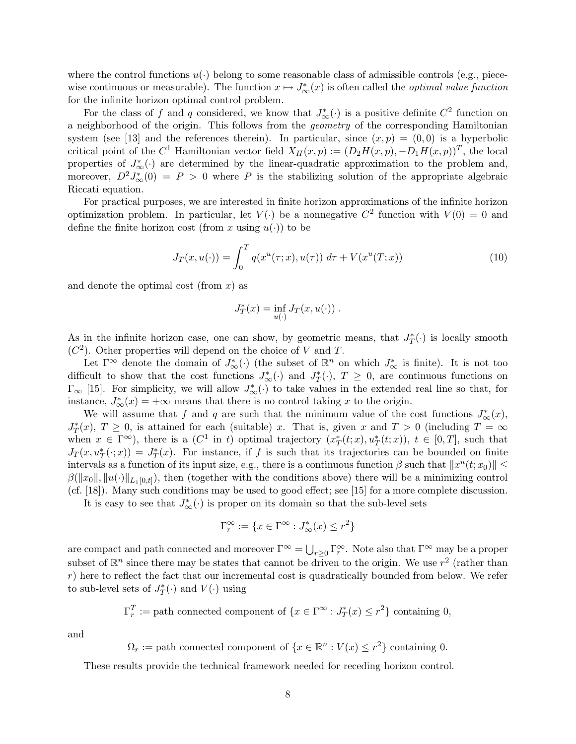where the control functions  $u(\cdot)$  belong to some reasonable class of admissible controls (e.g., piecewise continuous or measurable). The function  $x \mapsto J^*_{\infty}(x)$  is often called the *optimal value function* for the infinite horizon optimal control problem.

For the class of f and q considered, we know that  $J^*_{\infty}(\cdot)$  is a positive definite  $C^2$  function on a neighborhood of the origin. This follows from the *geometry* of the corresponding Hamiltonian system (see [13] and the references therein). In particular, since  $(x, p) = (0, 0)$  is a hyperbolic critical point of the  $C^1$  Hamiltonian vector field  $X_H(x,p) := (D_2H(x,p), -D_1H(x,p))^T$ , the local properties of  $J^*_{\infty}(\cdot)$  are determined by the linear-quadratic approximation to the problem and, moreover,  $D^2 J^*_{\infty}(0) = P > 0$  where P is the stabilizing solution of the appropriate algebraic Riccati equation.

For practical purposes, we are interested in finite horizon approximations of the infinite horizon optimization problem. In particular, let  $V(\cdot)$  be a nonnegative  $C^2$  function with  $V(0) = 0$  and define the finite horizon cost (from x using  $u(\cdot)$ ) to be

$$
J_T(x, u(\cdot)) = \int_0^T q(x^u(\tau; x), u(\tau)) \, d\tau + V(x^u(T; x)) \tag{10}
$$

and denote the optimal cost (from  $x$ ) as

$$
J_T^*(x) = \inf_{u(\cdot)} J_T(x, u(\cdot)) .
$$

As in the infinite horizon case, one can show, by geometric means, that  $J^*_T(\cdot)$  is locally smooth  $(C<sup>2</sup>)$ . Other properties will depend on the choice of V and T.

Let  $\Gamma^{\infty}$  denote the domain of  $J_{\infty}^{*}(\cdot)$  (the subset of  $\mathbb{R}^{n}$  on which  $J_{\infty}^{*}$  is finite). It is not too difficult to show that the cost functions  $J^*_{\infty}(\cdot)$  and  $J^*_{T}(\cdot)$ ,  $T \ge 0$ , are continuous functions on  $\Gamma_{\infty}$  [15]. For simplicity, we will allow  $J_{\infty}^{*}(\cdot)$  to take values in the extended real line so that, for instance,  $J^*_{\infty}(x) = +\infty$  means that there is no control taking x to the origin.

We will assume that f and q are such that the minimum value of the cost functions  $J^*_{\infty}(x)$ ,  $J_T^*(x)$ ,  $T \geq 0$ , is attained for each (suitable) x. That is, given x and  $T > 0$  (including  $T = \infty$ when  $x \in \Gamma^\infty$ ), there is a  $(C^1$  in t) optimal trajectory  $(x^*_T(t;x), u^*_T(t;x))$ ,  $t \in [0,T]$ , such that  $J_T(x, u^*_T(\cdot; x)) = J^*_T(x)$ . For instance, if f is such that its trajectories can be bounded on finite intervals as a function of its input size, e.g., there is a continuous function  $\beta$  such that  $||x^u(t; x_0)|| \le$  $\beta(\|x_0\|, \|u(\cdot)\|_{L_1[0,t]})$ , then (together with the conditions above) there will be a minimizing control (cf. [18]). Many such conditions may be used to good effect; see [15] for a more complete discussion.

It is easy to see that  $J^*_{\infty}(\cdot)$  is proper on its domain so that the sub-level sets

$$
\Gamma_r^{\infty} := \{ x \in \Gamma^{\infty} : J^*_{\infty}(x) \le r^2 \}
$$

are compact and path connected and moreover  $\Gamma^{\infty} = \bigcup_{r \geq 0} \Gamma_r^{\infty}$ . Note also that  $\Gamma^{\infty}$  may be a proper subset of  $\mathbb{R}^n$  since there may be states that cannot be driven to the origin. We use  $r^2$  (rather than  $r$ ) here to reflect the fact that our incremental cost is quadratically bounded from below. We refer to sub-level sets of  $J^*_{T}(\cdot)$  and  $V(\cdot)$  using

$$
\Gamma_r^T := \text{path connected component of }\{x \in \Gamma^\infty: J_T^*(x) \leq r^2\} \text{ containing } 0,
$$

and

 $\Omega_r := \text{path connected component of } \{x \in \mathbb{R}^n : V(x) \leq r^2\}$  containing 0.

These results provide the technical framework needed for receding horizon control.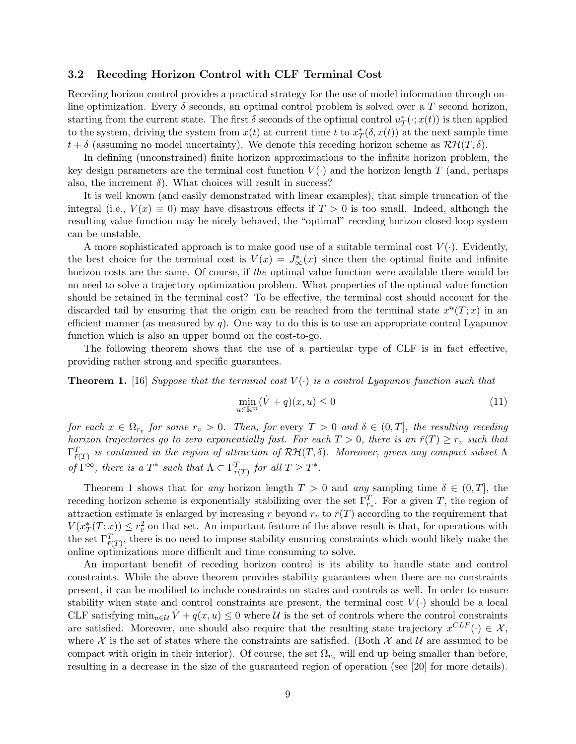### **3.2 Receding Horizon Control with CLF Terminal Cost**

Receding horizon control provides a practical strategy for the use of model information through online optimization. Every  $\delta$  seconds, an optimal control problem is solved over a T second horizon, starting from the current state. The first  $\delta$  seconds of the optimal control  $u^*_T(\cdot; x(t))$  is then applied to the system, driving the system from  $x(t)$  at current time t to  $x^*$ <sub>*T*</sub>( $\delta$ ,  $x(t)$ ) at the next sample time  $t + \delta$  (assuming no model uncertainty). We denote this receding horizon scheme as  $\mathcal{RH}(T,\delta)$ .

In defining (unconstrained) finite horizon approximations to the infinite horizon problem, the key design parameters are the terminal cost function  $V(\cdot)$  and the horizon length T (and, perhaps also, the increment  $\delta$ ). What choices will result in success?

It is well known (and easily demonstrated with linear examples), that simple truncation of the integral (i.e.,  $V(x) \equiv 0$ ) may have disastrous effects if  $T > 0$  is too small. Indeed, although the resulting value function may be nicely behaved, the "optimal" receding horizon closed loop system can be unstable.

A more sophisticated approach is to make good use of a suitable terminal cost  $V(\cdot)$ . Evidently, the best choice for the terminal cost is  $V(x) = J^*_{\infty}(x)$  since then the optimal finite and infinite horizon costs are the same. Of course, if *the* optimal value function were available there would be no need to solve a trajectory optimization problem. What properties of the optimal value function should be retained in the terminal cost? To be effective, the terminal cost should account for the discarded tail by ensuring that the origin can be reached from the terminal state  $x^u(T; x)$  in an efficient manner (as measured by  $q$ ). One way to do this is to use an appropriate control Lyapunov function which is also an upper bound on the cost-to-go.

The following theorem shows that the use of a particular type of CLF is in fact effective, providing rather strong and specific guarantees.

**Theorem 1.** [16] *Suppose that the terminal cost*  $V(\cdot)$  *is a control Lyapunov function such that* 

$$
\min_{u \in \mathbb{R}^m} (\dot{V} + q)(x, u) \le 0 \tag{11}
$$

*for each*  $x \in \Omega_{r_v}$  *for some*  $r_v > 0$ *. Then, for* every  $T > 0$  *and*  $\delta \in (0, T]$ *, the resulting receding horizon trajectories go to zero exponentially fast. For each*  $T > 0$ , there is an  $\bar{r}(T) \geq r_v$  such that  $\Gamma^T_{\bar{r}(T)}$  *is contained in the region of attraction of*  $\mathcal{RH}(T,\delta)$ *. Moreover, given any compact subset*  $\Lambda$  $of \Gamma^{\infty}$ , there is a  $T^*$  such that  $\Lambda \subset \Gamma^T_{\bar{r}(T)}$  for all  $T \geq T^*$ .

Theorem 1 shows that for *any* horizon length  $T > 0$  and *any* sampling time  $\delta \in (0, T]$ , the receding horizon scheme is exponentially stabilizing over the set  $\Gamma_{r_v}^T$ . For a given T, the region of attraction estimate is enlarged by increasing r beyond  $r_v$  to  $\bar{r}(T)$  according to the requirement that  $V(x_T^*(T; x)) \leq r_v^2$  on that set. An important feature of the above result is that, for operations with the set  $\Gamma_{\bar{r}(T)}^T$ , there is no need to impose stability ensuring constraints which would likely make the online optimizations more difficult and time consuming to solve.

An important benefit of receding horizon control is its ability to handle state and control constraints. While the above theorem provides stability guarantees when there are no constraints present, it can be modified to include constraints on states and controls as well. In order to ensure stability when state and control constraints are present, the terminal cost  $V(\cdot)$  should be a local CLF satisfying  $\min_{u \in \mathcal{U}} \dot{V} + q(x, u) \leq 0$  where  $\mathcal{U}$  is the set of controls where the control constraints are satisfied. Moreover, one should also require that the resulting state trajectory  $x^{CLF}(\cdot) \in \mathcal{X}$ , where X is the set of states where the constraints are satisfied. (Both X and U are assumed to be compact with origin in their interior). Of course, the set  $\Omega_{r_v}$  will end up being smaller than before, resulting in a decrease in the size of the guaranteed region of operation (see [20] for more details).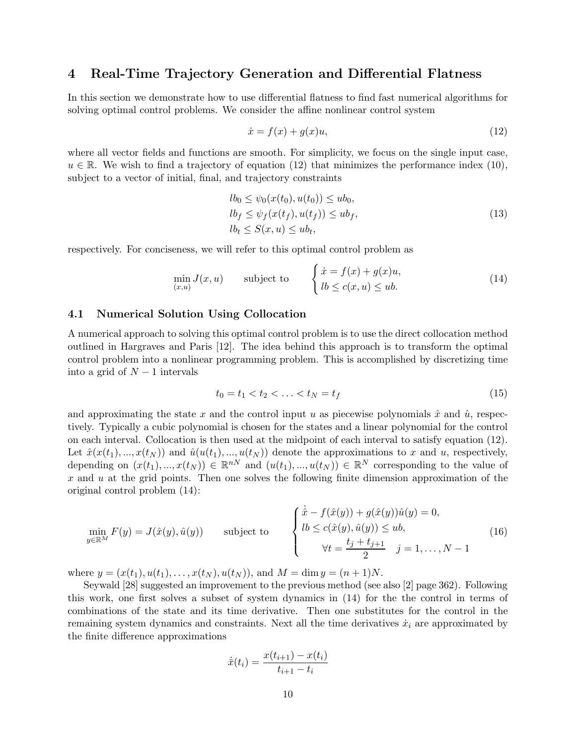### **4 Real-Time Trajectory Generation and Differential Flatness**

In this section we demonstrate how to use differential flatness to find fast numerical algorithms for solving optimal control problems. We consider the affine nonlinear control system

$$
\dot{x} = f(x) + g(x)u,\tag{12}
$$

where all vector fields and functions are smooth. For simplicity, we focus on the single input case,  $u \in \mathbb{R}$ . We wish to find a trajectory of equation (12) that minimizes the performance index (10), subject to a vector of initial, final, and trajectory constraints

$$
lb0 \leq \psi_0(x(t_0), u(t_0)) \leq ub_0,lbf \leq \psi_f(x(t_f), u(t_f)) \leq ub_f,lbt \leq S(x, u) \leq ub_t,
$$
\n(13)

respectively. For conciseness, we will refer to this optimal control problem as

$$
\min_{(x,u)} J(x,u) \qquad \text{subject to} \qquad \begin{cases} \n\dot{x} = f(x) + g(x)u, \\ \n\dot{b} \le c(x,u) \le ub. \n\end{cases} \tag{14}
$$

### **4.1 Numerical Solution Using Collocation**

A numerical approach to solving this optimal control problem is to use the direct collocation method outlined in Hargraves and Paris [12]. The idea behind this approach is to transform the optimal control problem into a nonlinear programming problem. This is accomplished by discretizing time into a grid of  $N-1$  intervals

$$
t_0 = t_1 < t_2 < \ldots < t_N = t_f \tag{15}
$$

and approximating the state x and the control input u as piecewise polynomials  $\hat{x}$  and  $\hat{u}$ , respectively. Typically a cubic polynomial is chosen for the states and a linear polynomial for the control on each interval. Collocation is then used at the midpoint of each interval to satisfy equation (12). Let  $\hat{x}(x(t_1),...,x(t_N))$  and  $\hat{u}(u(t_1),...,u(t_N))$  denote the approximations to x and u, respectively, depending on  $(x(t_1),...,x(t_N)) \in \mathbb{R}^{nN}$  and  $(u(t_1),...,u(t_N)) \in \mathbb{R}^N$  corresponding to the value of x and u at the grid points. Then one solves the following finite dimension approximation of the original control problem (14):

$$
\min_{y \in \mathbb{R}^M} F(y) = J(\hat{x}(y), \hat{u}(y)) \quad \text{subject to} \quad \begin{cases} \dot{\hat{x}} - f(\hat{x}(y)) + g(\hat{x}(y))\hat{u}(y) = 0, \\ lb \le c(\hat{x}(y), \hat{u}(y)) \le ub, \\ \forall t = \frac{t_j + t_{j+1}}{2} \quad j = 1, \dots, N - 1 \end{cases} \tag{16}
$$

where  $y = (x(t_1), u(t_1), \ldots, x(t_N), u(t_N))$ , and  $M = \dim y = (n + 1)N$ .

Seywald [28] suggested an improvement to the previous method (see also [2] page 362). Following this work, one first solves a subset of system dynamics in (14) for the the control in terms of combinations of the state and its time derivative. Then one substitutes for the control in the remaining system dynamics and constraints. Next all the time derivatives  $\dot{x}_i$  are approximated by the finite difference approximations

$$
\dot{\bar{x}}(t_i) = \frac{x(t_{i+1}) - x(t_i)}{t_{i+1} - t_i}
$$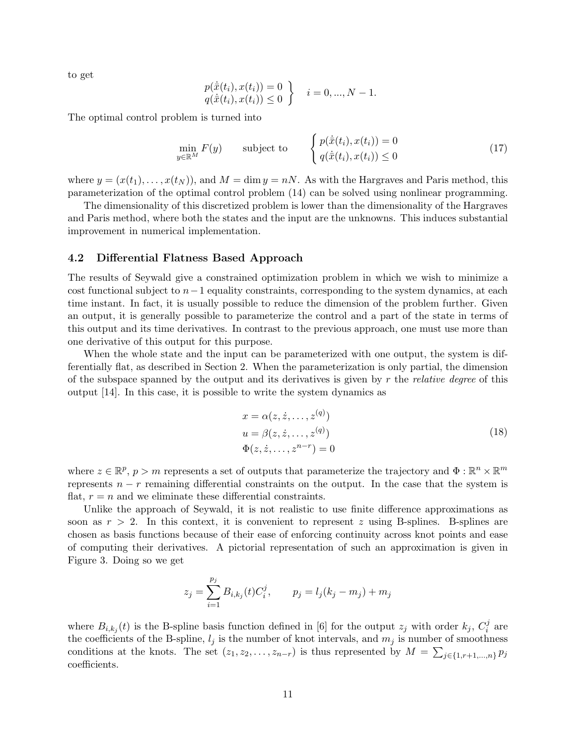to get

$$
p(\dot{\bar{x}}(t_i), x(t_i)) = 0q(\dot{\bar{x}}(t_i), x(t_i)) \le 0
$$
  $i = 0, ..., N - 1.$ 

The optimal control problem is turned into

$$
\min_{y \in \mathbb{R}^M} F(y) \qquad \text{subject to} \qquad \begin{cases} p(\dot{\bar{x}}(t_i), x(t_i)) = 0 \\ q(\dot{\bar{x}}(t_i), x(t_i)) \le 0 \end{cases} \tag{17}
$$

where  $y = (x(t_1),...,x(t_N))$ , and  $M = \dim y = nN$ . As with the Hargraves and Paris method, this parameterization of the optimal control problem (14) can be solved using nonlinear programming.

The dimensionality of this discretized problem is lower than the dimensionality of the Hargraves and Paris method, where both the states and the input are the unknowns. This induces substantial improvement in numerical implementation.

### **4.2 Differential Flatness Based Approach**

The results of Seywald give a constrained optimization problem in which we wish to minimize a cost functional subject to  $n-1$  equality constraints, corresponding to the system dynamics, at each time instant. In fact, it is usually possible to reduce the dimension of the problem further. Given an output, it is generally possible to parameterize the control and a part of the state in terms of this output and its time derivatives. In contrast to the previous approach, one must use more than one derivative of this output for this purpose.

When the whole state and the input can be parameterized with one output, the system is differentially flat, as described in Section 2. When the parameterization is only partial, the dimension of the subspace spanned by the output and its derivatives is given by r the *relative degree* of this output [14]. In this case, it is possible to write the system dynamics as

$$
x = \alpha(z, \dot{z}, \dots, z^{(q)})
$$
  
\n
$$
u = \beta(z, \dot{z}, \dots, z^{(q)})
$$
  
\n
$$
\Phi(z, \dot{z}, \dots, z^{n-r}) = 0
$$
\n(18)

where  $z \in \mathbb{R}^p$ ,  $p > m$  represents a set of outputs that parameterize the trajectory and  $\Phi : \mathbb{R}^n \times \mathbb{R}^m$ represents  $n - r$  remaining differential constraints on the output. In the case that the system is flat,  $r = n$  and we eliminate these differential constraints.

Unlike the approach of Seywald, it is not realistic to use finite difference approximations as soon as  $r > 2$ . In this context, it is convenient to represent z using B-splines. B-splines are chosen as basis functions because of their ease of enforcing continuity across knot points and ease of computing their derivatives. A pictorial representation of such an approximation is given in Figure 3. Doing so we get

$$
z_j = \sum_{i=1}^{p_j} B_{i,k_j}(t) C_i^j, \qquad p_j = l_j(k_j - m_j) + m_j
$$

where  $B_{i,k_j}(t)$  is the B-spline basis function defined in [6] for the output  $z_j$  with order  $k_j$ ,  $C_i^j$  are the coefficients of the B-spline,  $l_j$  is the number of knot intervals, and  $m_j$  is number of smoothness conditions at the knots. The set  $(z_1, z_2, \ldots, z_{n-r})$  is thus represented by  $M = \sum_{j \in \{1, r+1, \ldots, n\}} p_j$ coefficients.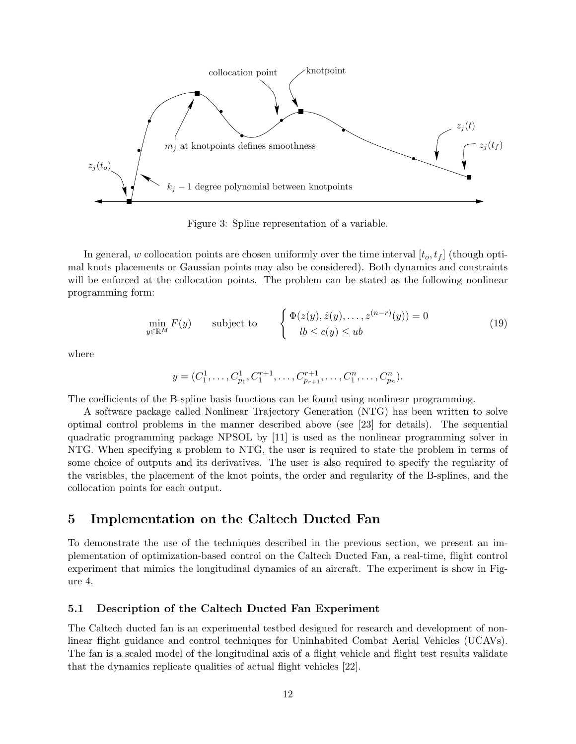

Figure 3: Spline representation of a variable.

In general, w collocation points are chosen uniformly over the time interval  $[t_o, t_f]$  (though optimal knots placements or Gaussian points may also be considered). Both dynamics and constraints will be enforced at the collocation points. The problem can be stated as the following nonlinear programming form:

$$
\min_{y \in \mathbb{R}^M} F(y) \qquad \text{subject to} \qquad \begin{cases} \Phi(z(y), \dot{z}(y), \dots, z^{(n-r)}(y)) = 0 \\ lb \le c(y) \le ub \end{cases} \tag{19}
$$

where

$$
y = (C_1^1, \ldots, C_{p_1}^1, C_1^{r+1}, \ldots, C_{p_{r+1}}^{r+1}, \ldots, C_1^n, \ldots, C_{p_n}^n).
$$

The coefficients of the B-spline basis functions can be found using nonlinear programming.

A software package called Nonlinear Trajectory Generation (NTG) has been written to solve optimal control problems in the manner described above (see [23] for details). The sequential quadratic programming package NPSOL by [11] is used as the nonlinear programming solver in NTG. When specifying a problem to NTG, the user is required to state the problem in terms of some choice of outputs and its derivatives. The user is also required to specify the regularity of the variables, the placement of the knot points, the order and regularity of the B-splines, and the collocation points for each output.

## **5 Implementation on the Caltech Ducted Fan**

To demonstrate the use of the techniques described in the previous section, we present an implementation of optimization-based control on the Caltech Ducted Fan, a real-time, flight control experiment that mimics the longitudinal dynamics of an aircraft. The experiment is show in Figure 4.

### **5.1 Description of the Caltech Ducted Fan Experiment**

The Caltech ducted fan is an experimental testbed designed for research and development of nonlinear flight guidance and control techniques for Uninhabited Combat Aerial Vehicles (UCAVs). The fan is a scaled model of the longitudinal axis of a flight vehicle and flight test results validate that the dynamics replicate qualities of actual flight vehicles [22].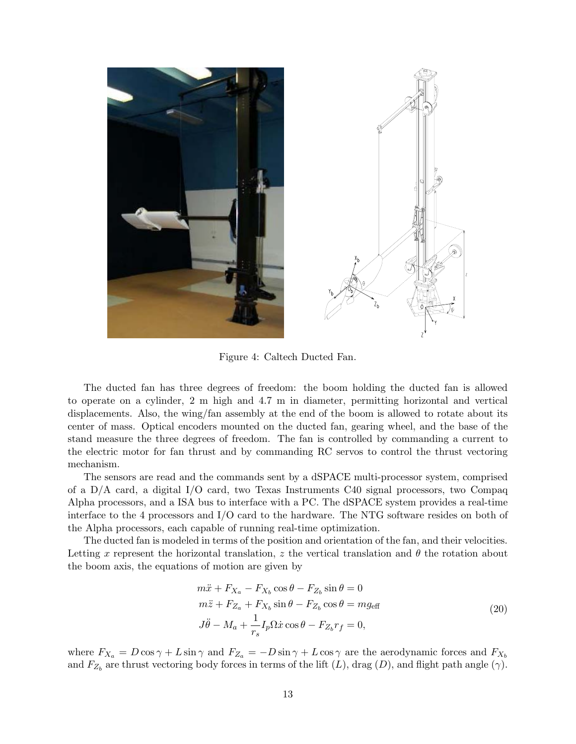

Figure 4: Caltech Ducted Fan.

The ducted fan has three degrees of freedom: the boom holding the ducted fan is allowed to operate on a cylinder, 2 m high and 4.7 m in diameter, permitting horizontal and vertical displacements. Also, the wing/fan assembly at the end of the boom is allowed to rotate about its center of mass. Optical encoders mounted on the ducted fan, gearing wheel, and the base of the stand measure the three degrees of freedom. The fan is controlled by commanding a current to the electric motor for fan thrust and by commanding RC servos to control the thrust vectoring mechanism.

The sensors are read and the commands sent by a dSPACE multi-processor system, comprised of a D/A card, a digital I/O card, two Texas Instruments C40 signal processors, two Compaq Alpha processors, and a ISA bus to interface with a PC. The dSPACE system provides a real-time interface to the 4 processors and I/O card to the hardware. The NTG software resides on both of the Alpha processors, each capable of running real-time optimization.

The ducted fan is modeled in terms of the position and orientation of the fan, and their velocities. Letting x represent the horizontal translation, z the vertical translation and  $\theta$  the rotation about the boom axis, the equations of motion are given by

$$
m\ddot{x} + F_{X_a} - F_{X_b}\cos\theta - F_{Z_b}\sin\theta = 0
$$
  
\n
$$
m\ddot{z} + F_{Z_a} + F_{X_b}\sin\theta - F_{Z_b}\cos\theta = mg_{\text{eff}}
$$
  
\n
$$
J\ddot{\theta} - M_a + \frac{1}{r_s}I_p\Omega\dot{x}\cos\theta - F_{Z_b}r_f = 0,
$$
\n(20)

where  $F_{X_a} = D \cos \gamma + L \sin \gamma$  and  $F_{Z_a} = -D \sin \gamma + L \cos \gamma$  are the aerodynamic forces and  $F_{X_b}$ and  $F_{Z_b}$  are thrust vectoring body forces in terms of the lift  $(L)$ , drag  $(D)$ , and flight path angle  $(\gamma)$ .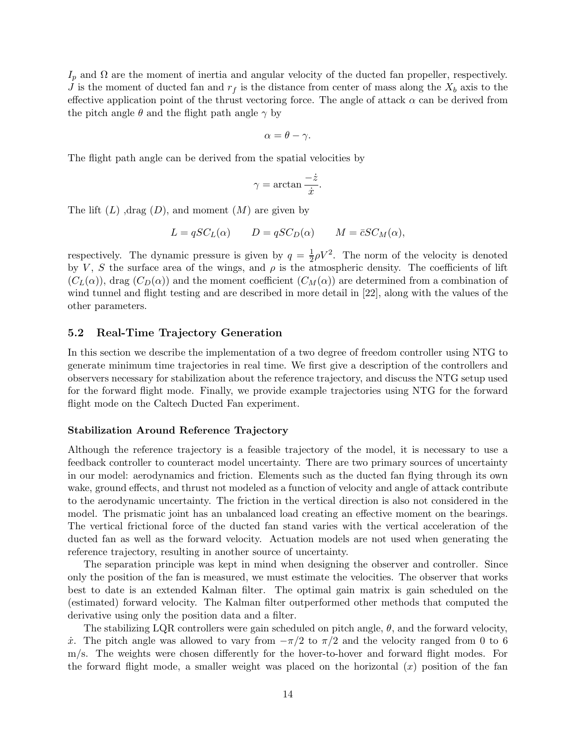$I_p$  and  $\Omega$  are the moment of inertia and angular velocity of the ducted fan propeller, respectively. J is the moment of ducted fan and  $r_f$  is the distance from center of mass along the  $X_b$  axis to the effective application point of the thrust vectoring force. The angle of attack  $\alpha$  can be derived from the pitch angle  $\theta$  and the flight path angle  $\gamma$  by

$$
\alpha = \theta - \gamma.
$$

The flight path angle can be derived from the spatial velocities by

$$
\gamma = \arctan \frac{-\dot{z}}{\dot{x}}.
$$

The lift  $(L)$ , drag  $(D)$ , and moment  $(M)$  are given by

$$
L = qSC_L(\alpha) \qquad D = qSC_D(\alpha) \qquad M = \bar{c}SC_M(\alpha),
$$

respectively. The dynamic pressure is given by  $q = \frac{1}{2}\rho V^2$ . The norm of the velocity is denoted by V, S the surface area of the wings, and  $\rho$  is the atmospheric density. The coefficients of lift  $(C_L(\alpha))$ , drag  $(C_D(\alpha))$  and the moment coefficient  $(C_M(\alpha))$  are determined from a combination of wind tunnel and flight testing and are described in more detail in [22], along with the values of the other parameters.

### **5.2 Real-Time Trajectory Generation**

In this section we describe the implementation of a two degree of freedom controller using NTG to generate minimum time trajectories in real time. We first give a description of the controllers and observers necessary for stabilization about the reference trajectory, and discuss the NTG setup used for the forward flight mode. Finally, we provide example trajectories using NTG for the forward flight mode on the Caltech Ducted Fan experiment.

#### **Stabilization Around Reference Trajectory**

Although the reference trajectory is a feasible trajectory of the model, it is necessary to use a feedback controller to counteract model uncertainty. There are two primary sources of uncertainty in our model: aerodynamics and friction. Elements such as the ducted fan flying through its own wake, ground effects, and thrust not modeled as a function of velocity and angle of attack contribute to the aerodynamic uncertainty. The friction in the vertical direction is also not considered in the model. The prismatic joint has an unbalanced load creating an effective moment on the bearings. The vertical frictional force of the ducted fan stand varies with the vertical acceleration of the ducted fan as well as the forward velocity. Actuation models are not used when generating the reference trajectory, resulting in another source of uncertainty.

The separation principle was kept in mind when designing the observer and controller. Since only the position of the fan is measured, we must estimate the velocities. The observer that works best to date is an extended Kalman filter. The optimal gain matrix is gain scheduled on the (estimated) forward velocity. The Kalman filter outperformed other methods that computed the derivative using only the position data and a filter.

The stabilizing LQR controllers were gain scheduled on pitch angle,  $\theta$ , and the forward velocity,  $\dot{x}$ . The pitch angle was allowed to vary from  $-\pi/2$  to  $\pi/2$  and the velocity ranged from 0 to 6 m/s. The weights were chosen differently for the hover-to-hover and forward flight modes. For the forward flight mode, a smaller weight was placed on the horizontal  $(x)$  position of the fan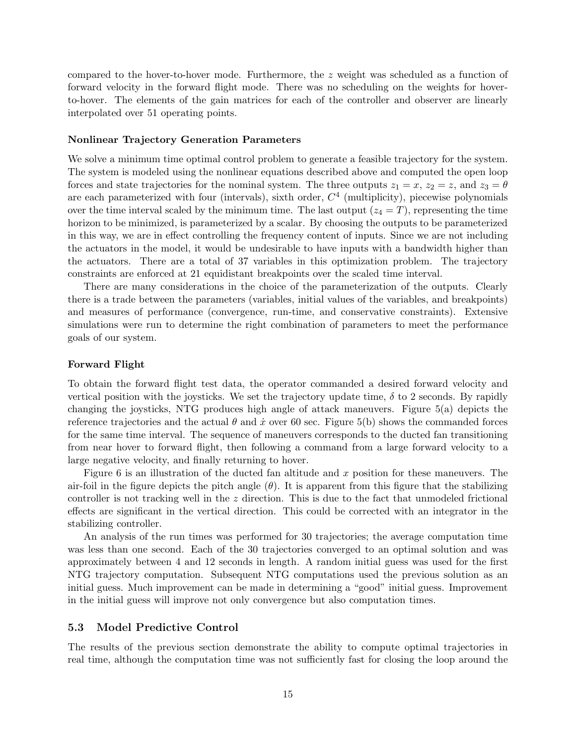compared to the hover-to-hover mode. Furthermore, the z weight was scheduled as a function of forward velocity in the forward flight mode. There was no scheduling on the weights for hoverto-hover. The elements of the gain matrices for each of the controller and observer are linearly interpolated over 51 operating points.

#### **Nonlinear Trajectory Generation Parameters**

We solve a minimum time optimal control problem to generate a feasible trajectory for the system. The system is modeled using the nonlinear equations described above and computed the open loop forces and state trajectories for the nominal system. The three outputs  $z_1 = x$ ,  $z_2 = z$ , and  $z_3 = \theta$ are each parameterized with four (intervals), sixth order,  $C<sup>4</sup>$  (multiplicity), piecewise polynomials over the time interval scaled by the minimum time. The last output  $(z_4 = T)$ , representing the time horizon to be minimized, is parameterized by a scalar. By choosing the outputs to be parameterized in this way, we are in effect controlling the frequency content of inputs. Since we are not including the actuators in the model, it would be undesirable to have inputs with a bandwidth higher than the actuators. There are a total of 37 variables in this optimization problem. The trajectory constraints are enforced at 21 equidistant breakpoints over the scaled time interval.

There are many considerations in the choice of the parameterization of the outputs. Clearly there is a trade between the parameters (variables, initial values of the variables, and breakpoints) and measures of performance (convergence, run-time, and conservative constraints). Extensive simulations were run to determine the right combination of parameters to meet the performance goals of our system.

#### **Forward Flight**

To obtain the forward flight test data, the operator commanded a desired forward velocity and vertical position with the joysticks. We set the trajectory update time,  $\delta$  to 2 seconds. By rapidly changing the joysticks, NTG produces high angle of attack maneuvers. Figure 5(a) depicts the reference trajectories and the actual  $\theta$  and  $\dot{x}$  over 60 sec. Figure 5(b) shows the commanded forces for the same time interval. The sequence of maneuvers corresponds to the ducted fan transitioning from near hover to forward flight, then following a command from a large forward velocity to a large negative velocity, and finally returning to hover.

Figure 6 is an illustration of the ducted fan altitude and x position for these maneuvers. The air-foil in the figure depicts the pitch angle  $(\theta)$ . It is apparent from this figure that the stabilizing controller is not tracking well in the  $z$  direction. This is due to the fact that unmodeled frictional effects are significant in the vertical direction. This could be corrected with an integrator in the stabilizing controller.

An analysis of the run times was performed for 30 trajectories; the average computation time was less than one second. Each of the 30 trajectories converged to an optimal solution and was approximately between 4 and 12 seconds in length. A random initial guess was used for the first NTG trajectory computation. Subsequent NTG computations used the previous solution as an initial guess. Much improvement can be made in determining a "good" initial guess. Improvement in the initial guess will improve not only convergence but also computation times.

### **5.3 Model Predictive Control**

The results of the previous section demonstrate the ability to compute optimal trajectories in real time, although the computation time was not sufficiently fast for closing the loop around the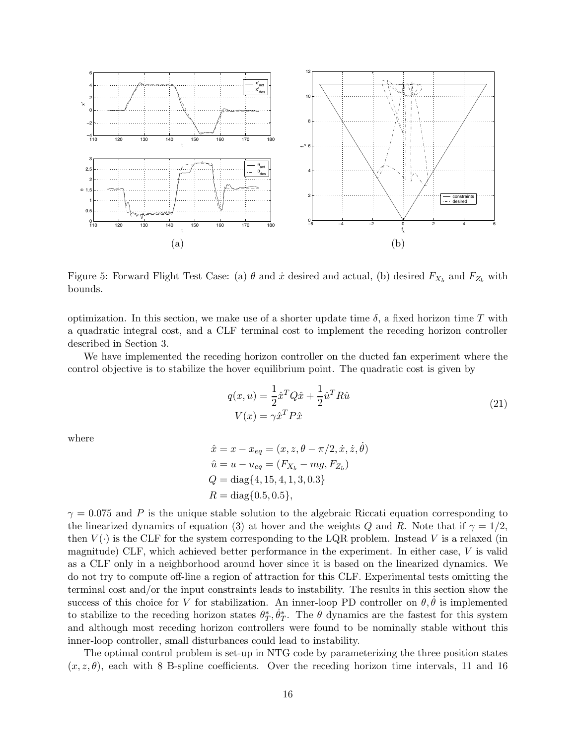

Figure 5: Forward Flight Test Case: (a)  $\theta$  and  $\dot{x}$  desired and actual, (b) desired  $F_{X_b}$  and  $F_{Z_b}$  with bounds.

optimization. In this section, we make use of a shorter update time  $\delta$ , a fixed horizon time T with a quadratic integral cost, and a CLF terminal cost to implement the receding horizon controller described in Section 3.

We have implemented the receding horizon controller on the ducted fan experiment where the control objective is to stabilize the hover equilibrium point. The quadratic cost is given by

$$
q(x, u) = \frac{1}{2}\hat{x}^T Q \hat{x} + \frac{1}{2}\hat{u}^T R \hat{u}
$$
  

$$
V(x) = \gamma \hat{x}^T P \hat{x}
$$
 (21)

where

$$
\hat{x} = x - x_{eq} = (x, z, \theta - \pi/2, \dot{x}, \dot{z}, \dot{\theta})
$$
  
\n
$$
\hat{u} = u - u_{eq} = (F_{X_b} - mg, F_{Z_b})
$$
  
\n
$$
Q = \text{diag}\{4, 15, 4, 1, 3, 0.3\}
$$
  
\n
$$
R = \text{diag}\{0.5, 0.5\},
$$

 $\gamma = 0.075$  and P is the unique stable solution to the algebraic Riccati equation corresponding to the linearized dynamics of equation (3) at hover and the weights Q and R. Note that if  $\gamma = 1/2$ . then  $V(\cdot)$  is the CLF for the system corresponding to the LQR problem. Instead V is a relaxed (in magnitude) CLF, which achieved better performance in the experiment. In either case, V is valid as a CLF only in a neighborhood around hover since it is based on the linearized dynamics. We do not try to compute off-line a region of attraction for this CLF. Experimental tests omitting the terminal cost and/or the input constraints leads to instability. The results in this section show the success of this choice for V for stabilization. An inner-loop PD controller on  $\theta$ ,  $\dot{\theta}$  is implemented to stabilize to the receding horizon states  $\theta_T^*, \dot{\theta}_T^*$ . The  $\theta$  dynamics are the fastest for this system and although most receding horizon controllers were found to be nominally stable without this inner-loop controller, small disturbances could lead to instability.

The optimal control problem is set-up in NTG code by parameterizing the three position states  $(x, z, \theta)$ , each with 8 B-spline coefficients. Over the receding horizon time intervals, 11 and 16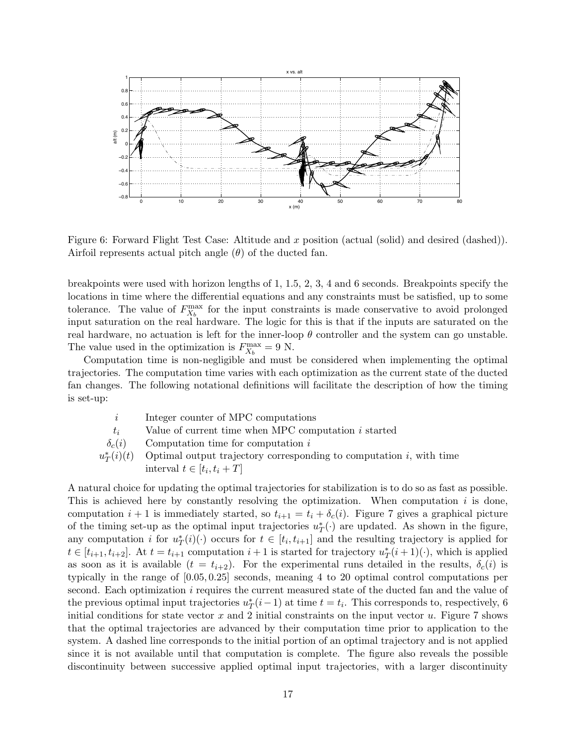![](_page_16_Figure_0.jpeg)

Figure 6: Forward Flight Test Case: Altitude and x position (actual (solid) and desired (dashed)). Airfoil represents actual pitch angle  $(\theta)$  of the ducted fan.

breakpoints were used with horizon lengths of 1, 1.5, 2, 3, 4 and 6 seconds. Breakpoints specify the locations in time where the differential equations and any constraints must be satisfied, up to some tolerance. The value of  $F_{X_b}^{\text{max}}$  for the input constraints is made conservative to avoid prolonged input saturation on the real hardware. The logic for this is that if the inputs are saturated on the real hardware, no actuation is left for the inner-loop  $\theta$  controller and the system can go unstable. The value used in the optimization is  $F_{X_b}^{\text{max}} = 9 \text{ N}.$ 

Computation time is non-negligible and must be considered when implementing the optimal trajectories. The computation time varies with each optimization as the current state of the ducted fan changes. The following notational definitions will facilitate the description of how the timing is set-up:

|                 | Integer counter of MPC computations                                    |
|-----------------|------------------------------------------------------------------------|
| $t_i$           | Value of current time when MPC computation $i$ started                 |
| $\delta_c(i)$   | Computation time for computation $i$                                   |
| $u^*_{T}(i)(t)$ | Optimal output trajectory corresponding to computation $i$ , with time |
|                 | interval $t \in [t_i, t_i + T]$                                        |
|                 |                                                                        |

A natural choice for updating the optimal trajectories for stabilization is to do so as fast as possible. This is achieved here by constantly resolving the optimization. When computation i is done, computation  $i + 1$  is immediately started, so  $t_{i+1} = t_i + \delta_c(i)$ . Figure 7 gives a graphical picture of the timing set-up as the optimal input trajectories  $u_T^*(\cdot)$  are updated. As shown in the figure, any computation *i* for  $u_T^*(i)$  occurs for  $t \in [t_i, t_{i+1}]$  and the resulting trajectory is applied for  $t \in [t_{i+1}, t_{i+2}]$ . At  $t = t_{i+1}$  computation  $i+1$  is started for trajectory  $u_T^*(i+1)(\cdot)$ , which is applied as soon as it is available  $(t = t_{i+2})$ . For the experimental runs detailed in the results,  $\delta_c(i)$  is typically in the range of [0.05, 0.25] seconds, meaning 4 to 20 optimal control computations per second. Each optimization i requires the current measured state of the ducted fan and the value of the previous optimal input trajectories  $u^*_T(i-1)$  at time  $t = t_i$ . This corresponds to, respectively, 6 initial conditions for state vector  $x$  and 2 initial constraints on the input vector  $u$ . Figure 7 shows that the optimal trajectories are advanced by their computation time prior to application to the system. A dashed line corresponds to the initial portion of an optimal trajectory and is not applied since it is not available until that computation is complete. The figure also reveals the possible discontinuity between successive applied optimal input trajectories, with a larger discontinuity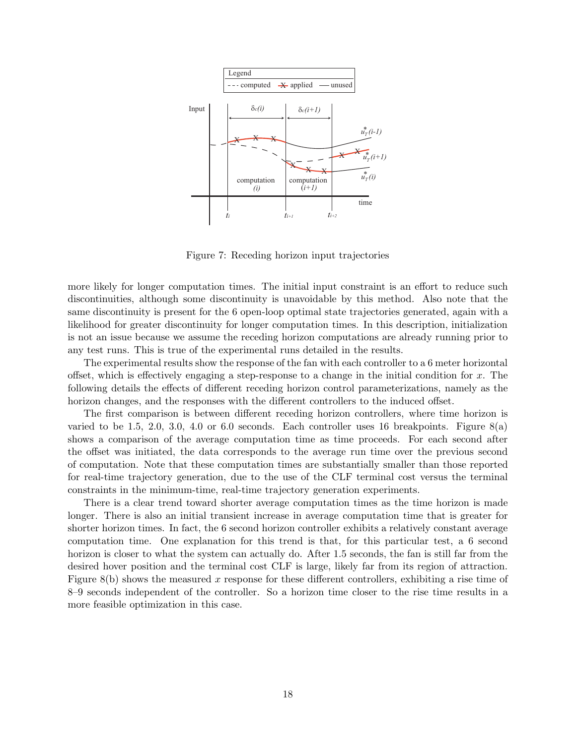![](_page_17_Figure_0.jpeg)

Figure 7: Receding horizon input trajectories

more likely for longer computation times. The initial input constraint is an effort to reduce such discontinuities, although some discontinuity is unavoidable by this method. Also note that the same discontinuity is present for the 6 open-loop optimal state trajectories generated, again with a likelihood for greater discontinuity for longer computation times. In this description, initialization is not an issue because we assume the receding horizon computations are already running prior to any test runs. This is true of the experimental runs detailed in the results.

The experimental results show the response of the fan with each controller to a 6 meter horizontal offset, which is effectively engaging a step-response to a change in the initial condition for  $x$ . The following details the effects of different receding horizon control parameterizations, namely as the horizon changes, and the responses with the different controllers to the induced offset.

The first comparison is between different receding horizon controllers, where time horizon is varied to be 1.5, 2.0, 3.0, 4.0 or 6.0 seconds. Each controller uses 16 breakpoints. Figure 8(a) shows a comparison of the average computation time as time proceeds. For each second after the offset was initiated, the data corresponds to the average run time over the previous second of computation. Note that these computation times are substantially smaller than those reported for real-time trajectory generation, due to the use of the CLF terminal cost versus the terminal constraints in the minimum-time, real-time trajectory generation experiments.

There is a clear trend toward shorter average computation times as the time horizon is made longer. There is also an initial transient increase in average computation time that is greater for shorter horizon times. In fact, the 6 second horizon controller exhibits a relatively constant average computation time. One explanation for this trend is that, for this particular test, a 6 second horizon is closer to what the system can actually do. After 1.5 seconds, the fan is still far from the desired hover position and the terminal cost CLF is large, likely far from its region of attraction. Figure 8(b) shows the measured x response for these different controllers, exhibiting a rise time of 8–9 seconds independent of the controller. So a horizon time closer to the rise time results in a more feasible optimization in this case.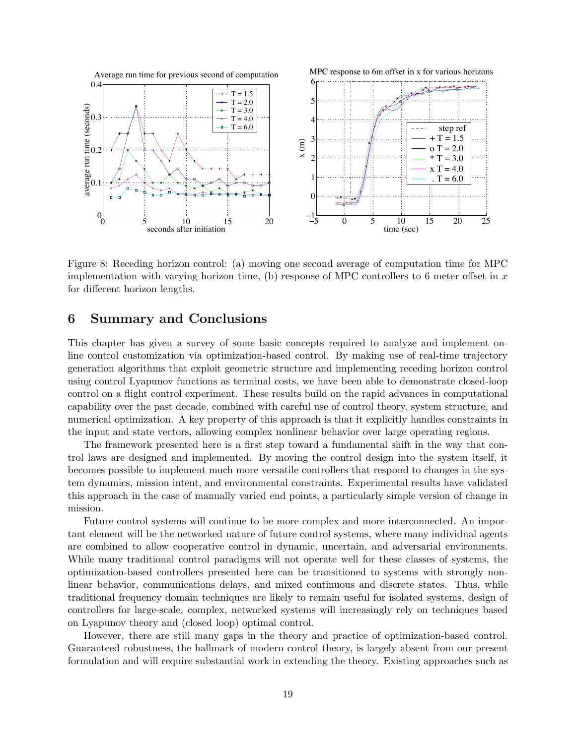![](_page_18_Figure_0.jpeg)

Figure 8: Receding horizon control: (a) moving one second average of computation time for MPC implementation with varying horizon time, (b) response of MPC controllers to 6 meter offset in  $x$ for different horizon lengths.

## **6 Summary and Conclusions**

This chapter has given a survey of some basic concepts required to analyze and implement online control customization via optimization-based control. By making use of real-time trajectory generation algorithms that exploit geometric structure and implementing receding horizon control using control Lyapunov functions as terminal costs, we have been able to demonstrate closed-loop control on a flight control experiment. These results build on the rapid advances in computational capability over the past decade, combined with careful use of control theory, system structure, and numerical optimization. A key property of this approach is that it explicitly handles constraints in the input and state vectors, allowing complex nonlinear behavior over large operating regions.

The framework presented here is a first step toward a fundamental shift in the way that control laws are designed and implemented. By moving the control design into the system itself, it becomes possible to implement much more versatile controllers that respond to changes in the system dynamics, mission intent, and environmental constraints. Experimental results have validated this approach in the case of manually varied end points, a particularly simple version of change in mission.

Future control systems will continue to be more complex and more interconnected. An important element will be the networked nature of future control systems, where many individual agents are combined to allow cooperative control in dynamic, uncertain, and adversarial environments. While many traditional control paradigms will not operate well for these classes of systems, the optimization-based controllers presented here can be transitioned to systems with strongly nonlinear behavior, communications delays, and mixed continuous and discrete states. Thus, while traditional frequency domain techniques are likely to remain useful for isolated systems, design of controllers for large-scale, complex, networked systems will increasingly rely on techniques based on Lyapunov theory and (closed loop) optimal control.

However, there are still many gaps in the theory and practice of optimization-based control. Guaranteed robustness, the hallmark of modern control theory, is largely absent from our present formulation and will require substantial work in extending the theory. Existing approaches such as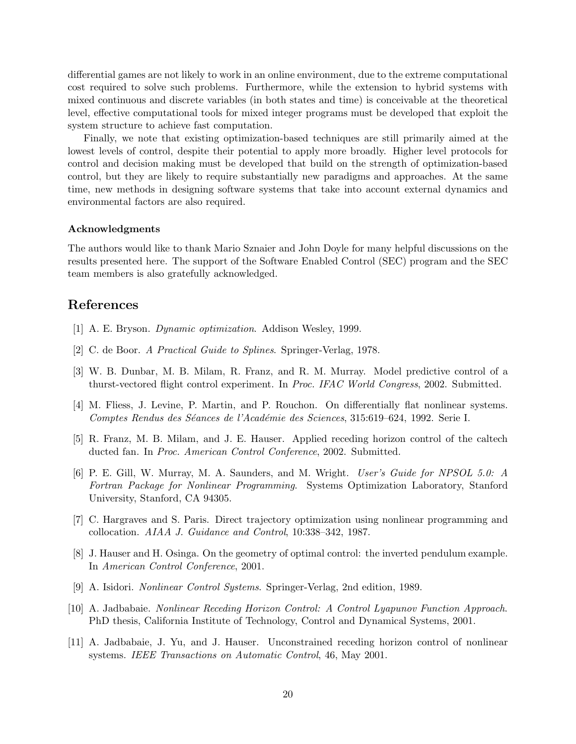differential games are not likely to work in an online environment, due to the extreme computational cost required to solve such problems. Furthermore, while the extension to hybrid systems with mixed continuous and discrete variables (in both states and time) is conceivable at the theoretical level, effective computational tools for mixed integer programs must be developed that exploit the system structure to achieve fast computation.

Finally, we note that existing optimization-based techniques are still primarily aimed at the lowest levels of control, despite their potential to apply more broadly. Higher level protocols for control and decision making must be developed that build on the strength of optimization-based control, but they are likely to require substantially new paradigms and approaches. At the same time, new methods in designing software systems that take into account external dynamics and environmental factors are also required.

#### **Acknowledgments**

The authors would like to thank Mario Sznaier and John Doyle for many helpful discussions on the results presented here. The support of the Software Enabled Control (SEC) program and the SEC team members is also gratefully acknowledged.

## **References**

- [1] A. E. Bryson. *Dynamic optimization*. Addison Wesley, 1999.
- [2] C. de Boor. *A Practical Guide to Splines*. Springer-Verlag, 1978.
- [3] W. B. Dunbar, M. B. Milam, R. Franz, and R. M. Murray. Model predictive control of a thurst-vectored flight control experiment. In *Proc. IFAC World Congress*, 2002. Submitted.
- [4] M. Fliess, J. Levine, P. Martin, and P. Rouchon. On differentially flat nonlinear systems. *Comptes Rendus des S´eances de l'Acad´emie des Sciences*, 315:619–624, 1992. Serie I.
- [5] R. Franz, M. B. Milam, and J. E. Hauser. Applied receding horizon control of the caltech ducted fan. In *Proc. American Control Conference*, 2002. Submitted.
- [6] P. E. Gill, W. Murray, M. A. Saunders, and M. Wright. *User's Guide for NPSOL 5.0: A Fortran Package for Nonlinear Programming*. Systems Optimization Laboratory, Stanford University, Stanford, CA 94305.
- [7] C. Hargraves and S. Paris. Direct trajectory optimization using nonlinear programming and collocation. *AIAA J. Guidance and Control*, 10:338–342, 1987.
- [8] J. Hauser and H. Osinga. On the geometry of optimal control: the inverted pendulum example. In *American Control Conference*, 2001.
- [9] A. Isidori. *Nonlinear Control Systems*. Springer-Verlag, 2nd edition, 1989.
- [10] A. Jadbabaie. *Nonlinear Receding Horizon Control: A Control Lyapunov Function Approach*. PhD thesis, California Institute of Technology, Control and Dynamical Systems, 2001.
- [11] A. Jadbabaie, J. Yu, and J. Hauser. Unconstrained receding horizon control of nonlinear systems. *IEEE Transactions on Automatic Control*, 46, May 2001.